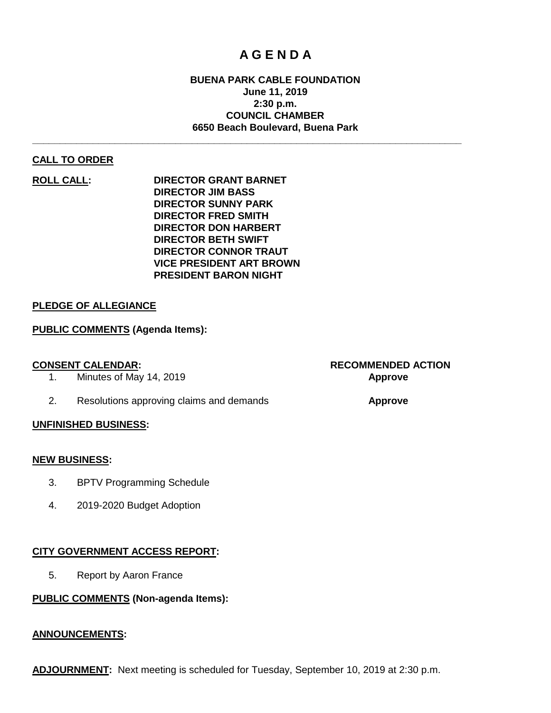# **A G E N D A**

### **BUENA PARK CABLE FOUNDATION June 11, 2019 2:30 p.m. COUNCIL CHAMBER 6650 Beach Boulevard, Buena Park**

**\_\_\_\_\_\_\_\_\_\_\_\_\_\_\_\_\_\_\_\_\_\_\_\_\_\_\_\_\_\_\_\_\_\_\_\_\_\_\_\_\_\_\_\_\_\_\_\_\_\_\_\_\_\_\_\_\_\_\_\_\_\_\_\_\_\_\_\_\_\_\_\_\_\_\_\_\_\_**

#### **CALL TO ORDER**

**ROLL CALL: DIRECTOR GRANT BARNET DIRECTOR JIM BASS DIRECTOR SUNNY PARK DIRECTOR FRED SMITH DIRECTOR DON HARBERT DIRECTOR BETH SWIFT DIRECTOR CONNOR TRAUT VICE PRESIDENT ART BROWN PRESIDENT BARON NIGHT**

#### **PLEDGE OF ALLEGIANCE**

#### **PUBLIC COMMENTS (Agenda Items):**

1. Minutes of May 14, 2019 **Approve**

2. Resolutions approving claims and demands **Approve**

#### **UNFINISHED BUSINESS:**

#### **NEW BUSINESS:**

- 3. BPTV Programming Schedule
- 4. 2019-2020 Budget Adoption

#### **CITY GOVERNMENT ACCESS REPORT:**

5. Report by Aaron France

#### **PUBLIC COMMENTS (Non-agenda Items):**

#### **ANNOUNCEMENTS:**

# **CONSENT CALENDAR: RECOMMENDED ACTION**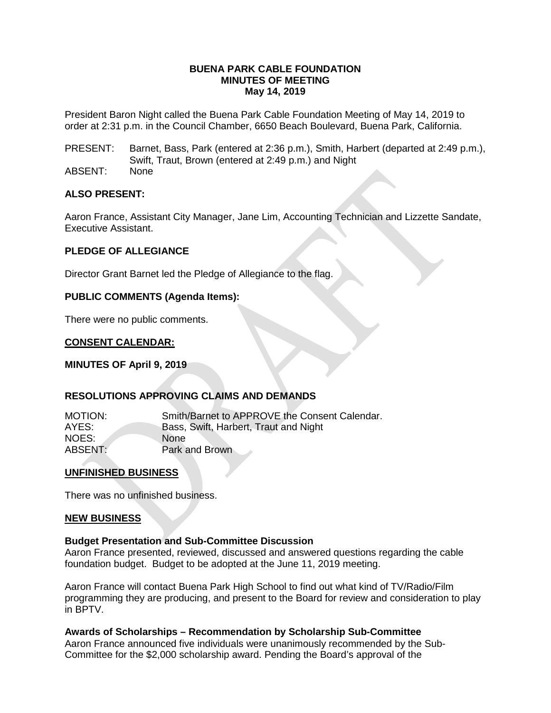#### **BUENA PARK CABLE FOUNDATION MINUTES OF MEETING May 14, 2019**

President Baron Night called the Buena Park Cable Foundation Meeting of May 14, 2019 to order at 2:31 p.m. in the Council Chamber, 6650 Beach Boulevard, Buena Park, California.

PRESENT: Barnet, Bass, Park (entered at 2:36 p.m.), Smith, Harbert (departed at 2:49 p.m.), Swift, Traut, Brown (entered at 2:49 p.m.) and Night

ABSENT: None

#### **ALSO PRESENT:**

Aaron France, Assistant City Manager, Jane Lim, Accounting Technician and Lizzette Sandate, Executive Assistant.

#### **PLEDGE OF ALLEGIANCE**

Director Grant Barnet led the Pledge of Allegiance to the flag.

#### **PUBLIC COMMENTS (Agenda Items):**

There were no public comments.

#### **CONSENT CALENDAR:**

**MINUTES OF April 9, 2019**

#### **RESOLUTIONS APPROVING CLAIMS AND DEMANDS**

MOTION: Smith/Barnet to APPROVE the Consent Calendar.<br>AYES: Bass. Swift. Harbert. Traut and Night Bass, Swift, Harbert, Traut and Night NOES: None ABSENT: Park and Brown

#### **UNFINISHED BUSINESS**

There was no unfinished business.

#### **NEW BUSINESS**

#### **Budget Presentation and Sub-Committee Discussion**

Aaron France presented, reviewed, discussed and answered questions regarding the cable foundation budget. Budget to be adopted at the June 11, 2019 meeting.

Aaron France will contact Buena Park High School to find out what kind of TV/Radio/Film programming they are producing, and present to the Board for review and consideration to play in BPTV.

#### **Awards of Scholarships – Recommendation by Scholarship Sub-Committee**

Aaron France announced five individuals were unanimously recommended by the Sub-Committee for the \$2,000 scholarship award. Pending the Board's approval of the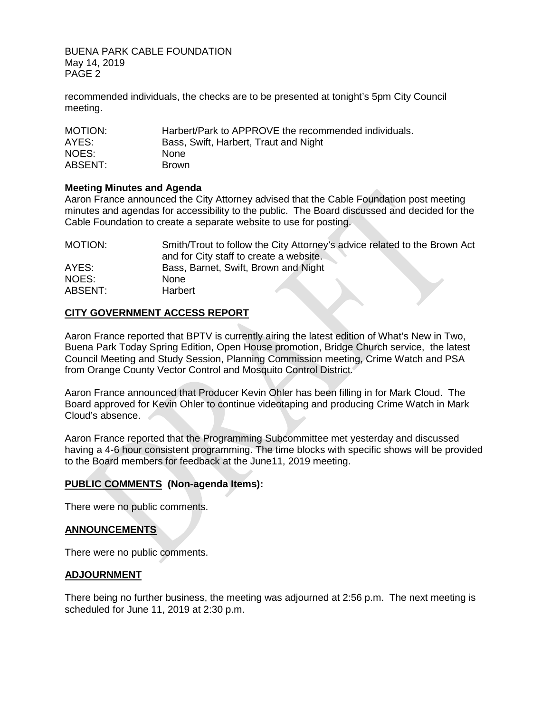BUENA PARK CABLE FOUNDATION May 14, 2019 PAGE 2

recommended individuals, the checks are to be presented at tonight's 5pm City Council meeting.

| MOTION: | Harbert/Park to APPROVE the recommended individuals. |
|---------|------------------------------------------------------|
| AYES:   | Bass, Swift, Harbert, Traut and Night                |
| NOES:   | <b>None</b>                                          |
| ABSENT: | <b>Brown</b>                                         |

#### **Meeting Minutes and Agenda**

Aaron France announced the City Attorney advised that the Cable Foundation post meeting minutes and agendas for accessibility to the public. The Board discussed and decided for the Cable Foundation to create a separate website to use for posting.

| MOTION: | Smith/Trout to follow the City Attorney's advice related to the Brown Act |
|---------|---------------------------------------------------------------------------|
|         | and for City staff to create a website.                                   |
| AYES:   | Bass, Barnet, Swift, Brown and Night                                      |
| NOES:   | <b>None</b>                                                               |
| ABSENT: | <b>Harbert</b>                                                            |

### **CITY GOVERNMENT ACCESS REPORT**

Aaron France reported that BPTV is currently airing the latest edition of What's New in Two, Buena Park Today Spring Edition, Open House promotion, Bridge Church service, the latest Council Meeting and Study Session, Planning Commission meeting, Crime Watch and PSA from Orange County Vector Control and Mosquito Control District.

Aaron France announced that Producer Kevin Ohler has been filling in for Mark Cloud. The Board approved for Kevin Ohler to continue videotaping and producing Crime Watch in Mark Cloud's absence.

Aaron France reported that the Programming Subcommittee met yesterday and discussed having a 4-6 hour consistent programming. The time blocks with specific shows will be provided to the Board members for feedback at the June11, 2019 meeting.

### **PUBLIC COMMENTS (Non-agenda Items):**

There were no public comments.

### **ANNOUNCEMENTS**

There were no public comments.

#### **ADJOURNMENT**

There being no further business, the meeting was adjourned at 2:56 p.m. The next meeting is scheduled for June 11, 2019 at 2:30 p.m.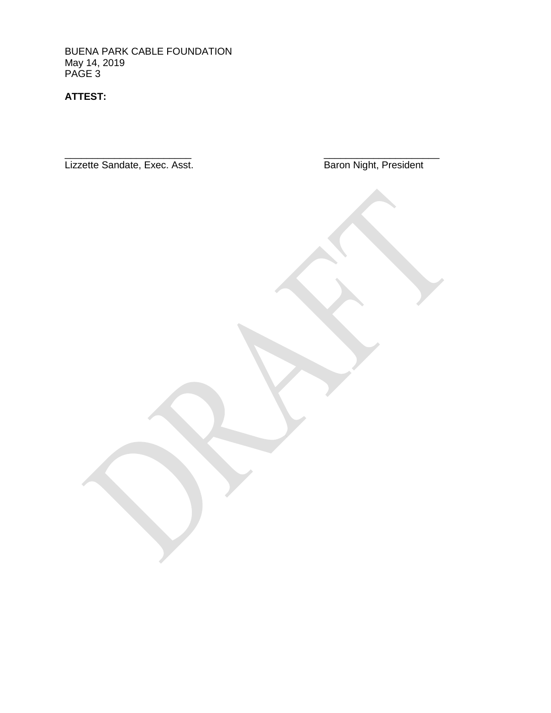BUENA PARK CABLE FOUNDATION May 14, 2019 PAGE 3

**ATTEST:**

Lizzette Sandate, Exec. Asst.

Baron Night, President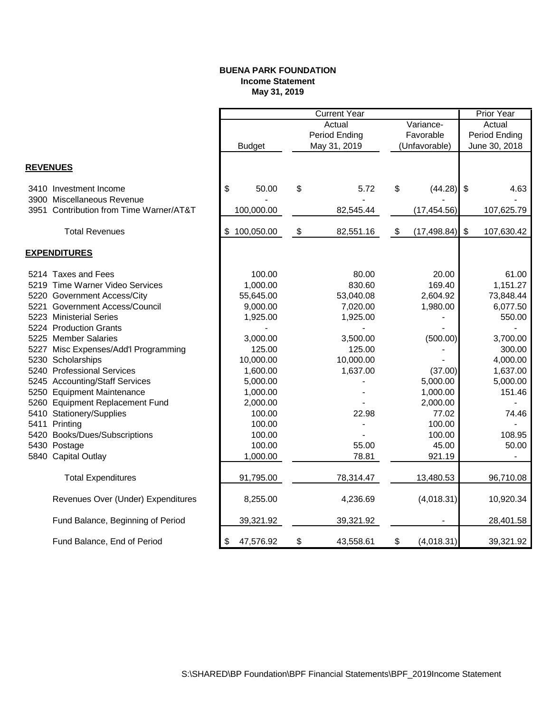#### **BUENA PARK FOUNDATION Income Statement May 31, 2019**

|                 |                                         |                  | <b>Current Year</b>       |                                   |               |              |               | <b>Prior Year</b> |
|-----------------|-----------------------------------------|------------------|---------------------------|-----------------------------------|---------------|--------------|---------------|-------------------|
|                 |                                         |                  | Actual<br>Variance-       |                                   |               |              | Actual        |                   |
|                 |                                         |                  |                           | <b>Period Ending</b><br>Favorable |               |              | Period Ending |                   |
|                 |                                         | <b>Budget</b>    |                           | May 31, 2019                      | (Unfavorable) |              | June 30, 2018 |                   |
|                 |                                         |                  |                           |                                   |               |              |               |                   |
| <b>REVENUES</b> |                                         |                  |                           |                                   |               |              |               |                   |
|                 | 3410 Investment Income                  | \$<br>50.00      | \$                        | 5.72                              | \$            | (44.28)      | $\sqrt[6]{3}$ | 4.63              |
|                 | 3900 Miscellaneous Revenue              |                  |                           |                                   |               |              |               |                   |
|                 | 3951 Contribution from Time Warner/AT&T | 100,000.00       |                           | 82,545.44                         |               | (17, 454.56) |               | 107,625.79        |
|                 | <b>Total Revenues</b>                   | \$<br>100,050.00 | $\boldsymbol{\mathsf{S}}$ | 82,551.16                         | \$            | (17, 498.84) | $\frac{1}{2}$ | 107,630.42        |
|                 | <b>EXPENDITURES</b>                     |                  |                           |                                   |               |              |               |                   |
|                 | 5214 Taxes and Fees                     | 100.00           |                           | 80.00                             |               | 20.00        |               | 61.00             |
|                 | 5219 Time Warner Video Services         | 1,000.00         |                           | 830.60                            |               | 169.40       |               | 1,151.27          |
|                 | 5220 Government Access/City             | 55,645.00        |                           | 53,040.08                         |               | 2,604.92     |               | 73,848.44         |
|                 | 5221 Government Access/Council          | 9,000.00         |                           | 7,020.00                          |               | 1,980.00     |               | 6,077.50          |
|                 | 5223 Ministerial Series                 | 1,925.00         |                           | 1,925.00                          |               |              |               | 550.00            |
|                 | 5224 Production Grants                  |                  |                           |                                   |               |              |               |                   |
|                 | 5225 Member Salaries                    | 3,000.00         |                           | 3,500.00                          |               | (500.00)     |               | 3,700.00          |
|                 | 5227 Misc Expenses/Add'l Programming    | 125.00           |                           | 125.00                            |               |              |               | 300.00            |
|                 | 5230 Scholarships                       | 10,000.00        |                           | 10,000.00                         |               |              |               | 4,000.00          |
|                 | 5240 Professional Services              | 1,600.00         |                           | 1,637.00                          |               | (37.00)      |               | 1,637.00          |
|                 | 5245 Accounting/Staff Services          | 5,000.00         |                           |                                   |               | 5,000.00     |               | 5,000.00          |
|                 | 5250 Equipment Maintenance              | 1,000.00         |                           |                                   |               | 1,000.00     |               | 151.46            |
|                 | 5260 Equipment Replacement Fund         | 2,000.00         |                           |                                   |               | 2,000.00     |               |                   |
|                 | 5410 Stationery/Supplies                | 100.00           |                           | 22.98                             |               | 77.02        |               | 74.46             |
|                 | 5411 Printing                           | 100.00           |                           |                                   |               | 100.00       |               |                   |
|                 | 5420 Books/Dues/Subscriptions           | 100.00           |                           |                                   |               | 100.00       |               | 108.95            |
|                 | 5430 Postage                            | 100.00           |                           | 55.00                             |               | 45.00        |               | 50.00             |
|                 | 5840 Capital Outlay                     | 1,000.00         |                           | 78.81                             |               | 921.19       |               |                   |
|                 | <b>Total Expenditures</b>               | 91,795.00        |                           | 78,314.47                         |               | 13,480.53    |               | 96,710.08         |
|                 | Revenues Over (Under) Expenditures      | 8,255.00         |                           | 4,236.69                          |               | (4,018.31)   |               | 10,920.34         |
|                 | Fund Balance, Beginning of Period       | 39,321.92        |                           | 39,321.92                         |               |              |               | 28,401.58         |
|                 | Fund Balance, End of Period             | 47,576.92<br>\$  | \$                        | 43,558.61                         | \$            | (4,018.31)   |               | 39,321.92         |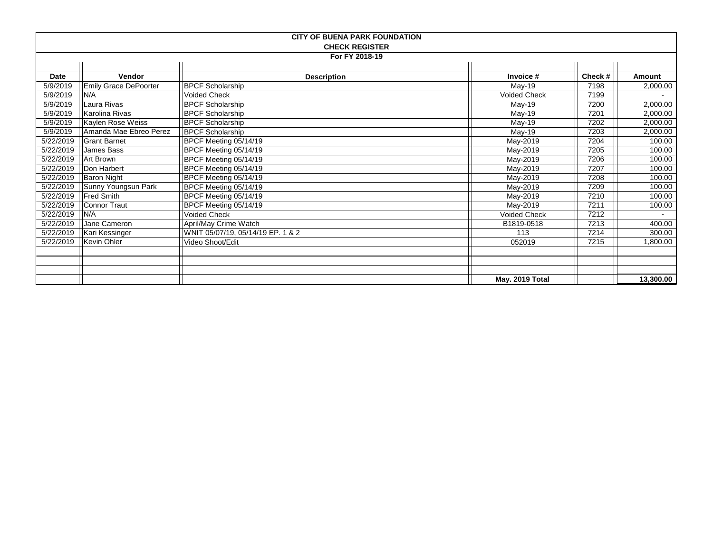| <b>CITY OF BUENA PARK FOUNDATION</b> |                        |                                   |                     |        |           |  |
|--------------------------------------|------------------------|-----------------------------------|---------------------|--------|-----------|--|
| <b>CHECK REGISTER</b>                |                        |                                   |                     |        |           |  |
| For FY 2018-19                       |                        |                                   |                     |        |           |  |
|                                      |                        |                                   |                     |        |           |  |
| Date                                 | Vendor                 | <b>Description</b>                | Invoice #           | Check# | Amount    |  |
| 5/9/2019                             | Emily Grace DePoorter  | <b>BPCF Scholarship</b>           | May-19              | 7198   | 2,000.00  |  |
| 5/9/2019                             | N/A                    | <b>Voided Check</b>               | <b>Voided Check</b> | 7199   |           |  |
| 5/9/2019                             | Laura Rivas            | <b>BPCF Scholarship</b>           | May-19              | 7200   | 2,000.00  |  |
| 5/9/2019                             | Karolina Rivas         | <b>BPCF Scholarship</b>           | May-19              | 7201   | 2,000.00  |  |
| 5/9/2019                             | Kaylen Rose Weiss      | <b>BPCF</b> Scholarship           | $May-19$            | 7202   | 2,000.00  |  |
| 5/9/2019                             | Amanda Mae Ebreo Perez | <b>BPCF Scholarship</b>           | May-19              | 7203   | 2,000.00  |  |
| 5/22/2019                            | <b>Grant Barnet</b>    | BPCF Meeting 05/14/19             | May-2019            | 7204   | 100.00    |  |
| 5/22/2019                            | James Bass             | BPCF Meeting 05/14/19             | May-2019            | 7205   | 100.00    |  |
| 5/22/2019                            | Art Brown              | BPCF Meeting 05/14/19             | May-2019            | 7206   | 100.00    |  |
| 5/22/2019                            | Don Harbert            | BPCF Meeting 05/14/19             | May-2019            | 7207   | 100.00    |  |
| 5/22/2019                            | Baron Night            | BPCF Meeting 05/14/19             | May-2019            | 7208   | 100.00    |  |
| 5/22/2019                            | Sunny Youngsun Park    | BPCF Meeting 05/14/19             | May-2019            | 7209   | 100.00    |  |
| 5/22/2019                            | <b>Fred Smith</b>      | BPCF Meeting 05/14/19             | May-2019            | 7210   | 100.00    |  |
| 5/22/2019                            | Connor Traut           | BPCF Meeting 05/14/19             | May-2019            | 7211   | 100.00    |  |
| 5/22/2019                            | N/A                    | Voided Check                      | <b>Voided Check</b> | 7212   |           |  |
| 5/22/2019                            | Jane Cameron           | April/May Crime Watch             | B1819-0518          | 7213   | 400.00    |  |
| 5/22/2019                            | Kari Kessinger         | WNIT 05/07/19, 05/14/19 EP. 1 & 2 | 113                 | 7214   | 300.00    |  |
| 5/22/2019                            | Kevin Ohler            | Video Shoot/Edit                  | 052019              | 7215   | 1,800.00  |  |
|                                      |                        |                                   |                     |        |           |  |
|                                      |                        |                                   |                     |        |           |  |
|                                      |                        |                                   |                     |        |           |  |
|                                      |                        |                                   | May. 2019 Total     |        | 13,300.00 |  |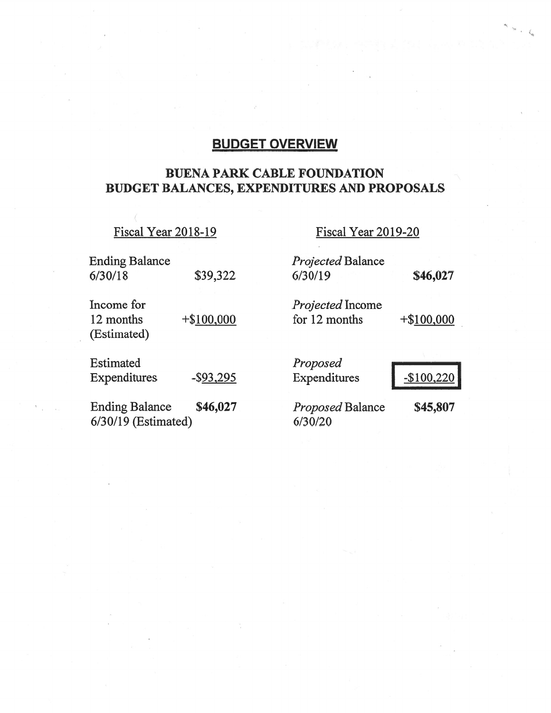# **BUDGET OVERVIEW**

## **BUENA PARK CABLE FOUNDATION** BUDGET BALANCES, EXPENDITURES AND PROPOSALS

Fiscal Year 2018-19

Fiscal Year 2019-20

| <b>Ending Balance</b>                          |               | Projected Balance                  |               |
|------------------------------------------------|---------------|------------------------------------|---------------|
| 6/30/18                                        | \$39,322      | 6/30/19                            | \$46,027      |
| Income for                                     |               | Projected Income                   |               |
| 12 months<br>(Estimated)                       | $+$ \$100,000 | for 12 months                      | $+$ \$100,000 |
| Estimated                                      |               | Proposed                           |               |
| Expenditures                                   | $-$ \$93,295  | Expenditures                       | $-$100,220$   |
| <b>Ending Balance</b><br>$6/30/19$ (Estimated) | \$46,027      | <b>Proposed Balance</b><br>6/30/20 | \$45,807      |